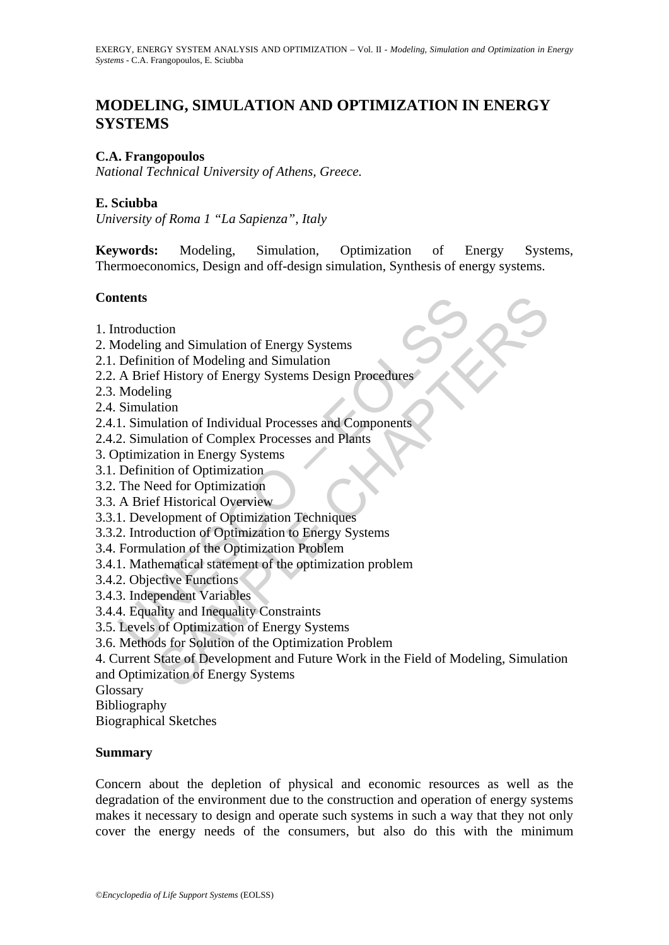# **MODELING, SIMULATION AND OPTIMIZATION IN ENERGY SYSTEMS**

#### **C.A. Frangopoulos**

*National Technical University of Athens, Greece.* 

#### **E. Sciubba**

*University of Roma 1 "La Sapienza", Italy* 

**Keywords:** Modeling, Simulation, Optimization of Energy Systems, Thermoeconomics, Design and off-design simulation, Synthesis of energy systems.

#### **Contents**

- 1. Introduction
- 2. Modeling and Simulation of Energy Systems
- 2.1. Definition of Modeling and Simulation
- 2.2. A Brief History of Energy Systems Design Procedures
- 2.3. Modeling
- 2.4. Simulation
- 2.4.1. Simulation of Individual Processes and Components
- 2.4.2. Simulation of Complex Processes and Plants
- 3. Optimization in Energy Systems
- 3.1. Definition of Optimization
- 3.2. The Need for Optimization
- 3.3. A Brief Historical Overview
- 3.3.1. Development of Optimization Techniques
- 3.3.2. Introduction of Optimization to Energy Systems
- 3.4. Formulation of the Optimization Problem
- **Examplement**<br>
Indedeling and Simulation of Energy Systems<br>
Definition of Modeling and Simulation<br>
A Brief History of Energy Systems Design Procedures<br>
Modeling<br>
Simulation<br>
1. Simulation of Individual Processes and Compon 3.4.1. Mathematical statement of the optimization problem
- 3.4.2. Objective Functions
- 3.4.3. Independent Variables
- 3.4.4. Equality and Inequality Constraints
- 3.5. Levels of Optimization of Energy Systems
- 3.6. Methods for Solution of the Optimization Problem
- tion<br>
or and Simulation of Energy Systems<br>
tion of Modeling and Simulation<br>
fHistory of Energy Systems Design Procedures<br>
ing<br>
tion<br>
tion<br>
tion<br>
or Chapter Processes and Components<br>
action of Ordinization<br>
or Optimization<br> 4. Current State of Development and Future Work in the Field of Modeling, Simulation and Optimization of Energy Systems
- **Glossary**
- Bibliography

Biographical Sketches

#### **Summary**

Concern about the depletion of physical and economic resources as well as the degradation of the environment due to the construction and operation of energy systems makes it necessary to design and operate such systems in such a way that they not only cover the energy needs of the consumers, but also do this with the minimum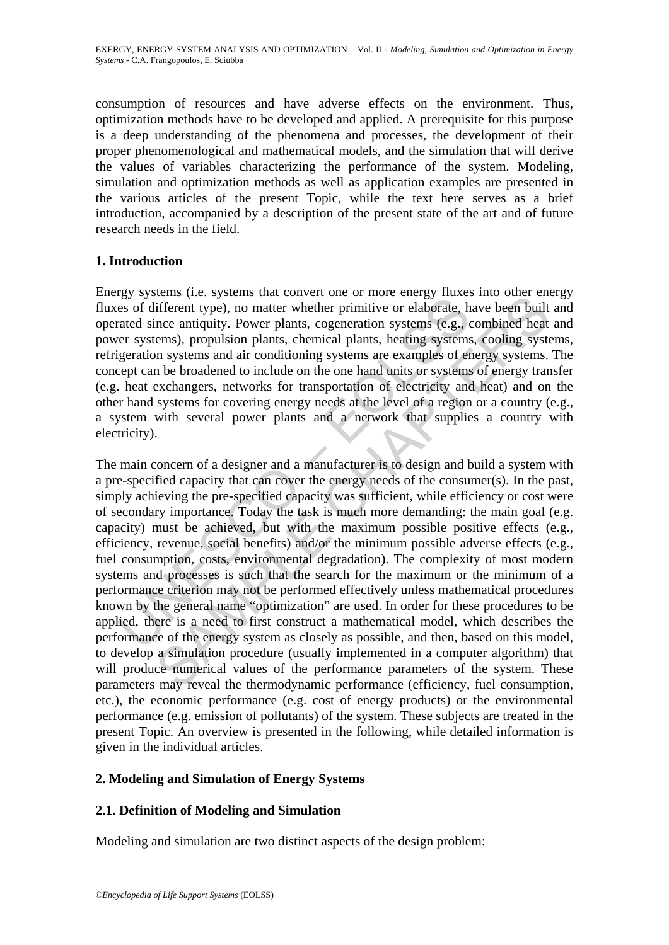consumption of resources and have adverse effects on the environment. Thus, optimization methods have to be developed and applied. A prerequisite for this purpose is a deep understanding of the phenomena and processes, the development of their proper phenomenological and mathematical models, and the simulation that will derive the values of variables characterizing the performance of the system. Modeling, simulation and optimization methods as well as application examples are presented in the various articles of the present Topic, while the text here serves as a brief introduction, accompanied by a description of the present state of the art and of future research needs in the field.

### **1. Introduction**

Energy systems (i.e. systems that convert one or more energy fluxes into other energy fluxes of different type), no matter whether primitive or elaborate, have been built and operated since antiquity. Power plants, cogeneration systems (e.g., combined heat and power systems), propulsion plants, chemical plants, heating systems, cooling systems, refrigeration systems and air conditioning systems are examples of energy systems. The concept can be broadened to include on the one hand units or systems of energy transfer (e.g. heat exchangers, networks for transportation of electricity and heat) and on the other hand systems for covering energy needs at the level of a region or a country (e.g., a system with several power plants and a network that supplies a country with electricity).

Ess of different type), no matter whether primitive or elaborate, hes of different type), no matter whether primitive or elaborate, heading systems and air conditioning systems are examples of experiment and air conditioni entical. Systems that conviver one in more energy mass into dure energy the<br>mifferent type), no matter whether primitive or elaborate, have been built<br>ince antiquity. Power plants, cogeneration systems, cooling systems.<br>Or The main concern of a designer and a manufacturer is to design and build a system with a pre-specified capacity that can cover the energy needs of the consumer(s). In the past, simply achieving the pre-specified capacity was sufficient, while efficiency or cost were of secondary importance. Today the task is much more demanding: the main goal (e.g. capacity) must be achieved, but with the maximum possible positive effects (e.g., efficiency, revenue, social benefits) and/or the minimum possible adverse effects (e.g., fuel consumption, costs, environmental degradation). The complexity of most modern systems and processes is such that the search for the maximum or the minimum of a performance criterion may not be performed effectively unless mathematical procedures known by the general name "optimization" are used. In order for these procedures to be applied, there is a need to first construct a mathematical model, which describes the performance of the energy system as closely as possible, and then, based on this model, to develop a simulation procedure (usually implemented in a computer algorithm) that will produce numerical values of the performance parameters of the system. These parameters may reveal the thermodynamic performance (efficiency, fuel consumption, etc.), the economic performance (e.g. cost of energy products) or the environmental performance (e.g. emission of pollutants) of the system. These subjects are treated in the present Topic. An overview is presented in the following, while detailed information is given in the individual articles.

### **2. Modeling and Simulation of Energy Systems**

## **2.1. Definition of Modeling and Simulation**

Modeling and simulation are two distinct aspects of the design problem: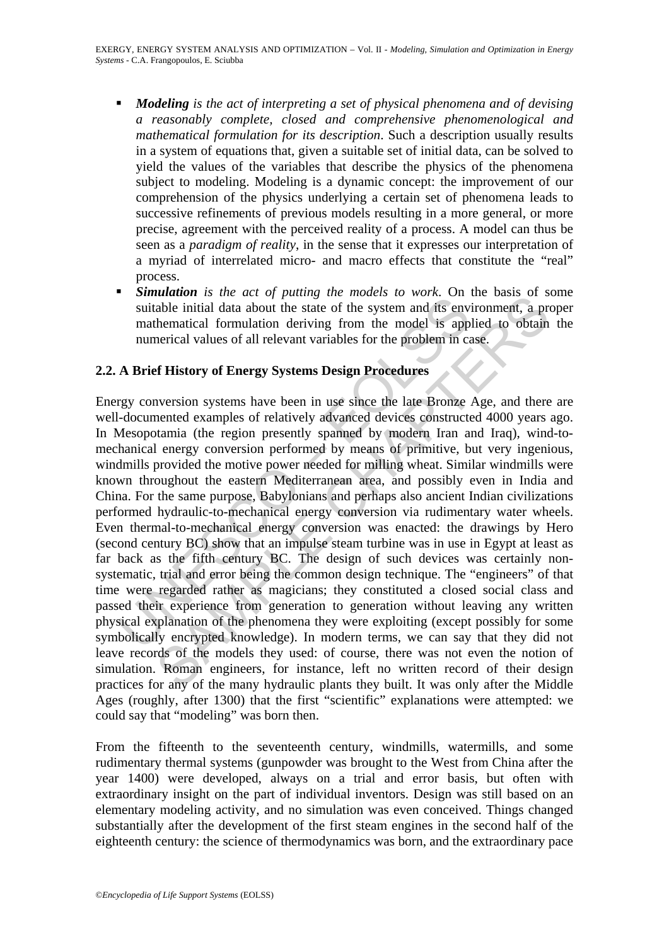- *Modeling is the act of interpreting a set of physical phenomena and of devising a reasonably complete, closed and comprehensive phenomenological and mathematical formulation for its description*. Such a description usually results in a system of equations that, given a suitable set of initial data, can be solved to yield the values of the variables that describe the physics of the phenomena subject to modeling. Modeling is a dynamic concept: the improvement of our comprehension of the physics underlying a certain set of phenomena leads to successive refinements of previous models resulting in a more general, or more precise, agreement with the perceived reality of a process. A model can thus be seen as a *paradigm of reality*, in the sense that it expresses our interpretation of a myriad of interrelated micro- and macro effects that constitute the "real" process.
- *Simulation is the act of putting the models to work*. On the basis of some suitable initial data about the state of the system and its environment, a proper mathematical formulation deriving from the model is applied to obtain the numerical values of all relevant variables for the problem in case.

## **2.2. A Brief History of Energy Systems Design Procedures**

Summarion and the state of the syptems are models to move. Somethind data about the state of the system and its env<br>mathematical formulation deriving from the model is app<br>numerical values of all relevant variables for the **EXECUTE THEAT THE TRANSE THE** *magnet* and  $\theta$  for the system and the initial data about the state of the system and its environment, a prehematical formulation deriving from the model is applied to obtain thermatical c Energy conversion systems have been in use since the late Bronze Age, and there are well-documented examples of relatively advanced devices constructed 4000 years ago. In Mesopotamia (the region presently spanned by modern Iran and Iraq), wind-tomechanical energy conversion performed by means of primitive, but very ingenious, windmills provided the motive power needed for milling wheat. Similar windmills were known throughout the eastern Mediterranean area, and possibly even in India and China. For the same purpose, Babylonians and perhaps also ancient Indian civilizations performed hydraulic-to-mechanical energy conversion via rudimentary water wheels. Even thermal-to-mechanical energy conversion was enacted: the drawings by Hero (second century BC) show that an impulse steam turbine was in use in Egypt at least as far back as the fifth century BC. The design of such devices was certainly nonsystematic, trial and error being the common design technique. The "engineers" of that time were regarded rather as magicians; they constituted a closed social class and passed their experience from generation to generation without leaving any written physical explanation of the phenomena they were exploiting (except possibly for some symbolically encrypted knowledge). In modern terms, we can say that they did not leave records of the models they used: of course, there was not even the notion of simulation. Roman engineers, for instance, left no written record of their design practices for any of the many hydraulic plants they built. It was only after the Middle Ages (roughly, after 1300) that the first "scientific" explanations were attempted: we could say that "modeling" was born then.

From the fifteenth to the seventeenth century, windmills, watermills, and some rudimentary thermal systems (gunpowder was brought to the West from China after the year 1400) were developed, always on a trial and error basis, but often with extraordinary insight on the part of individual inventors. Design was still based on an elementary modeling activity, and no simulation was even conceived. Things changed substantially after the development of the first steam engines in the second half of the eighteenth century: the science of thermodynamics was born, and the extraordinary pace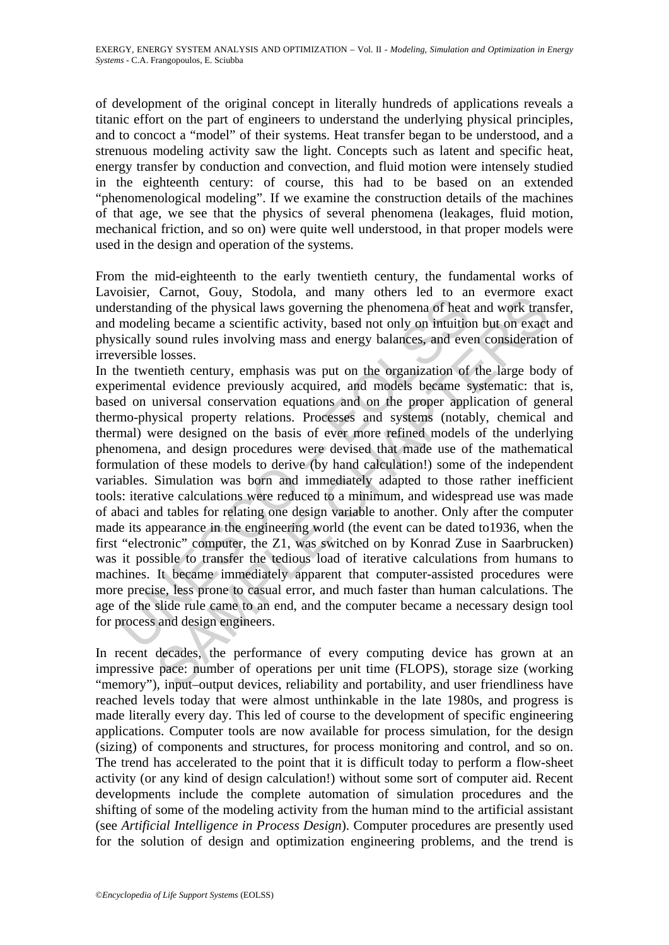of development of the original concept in literally hundreds of applications reveals a titanic effort on the part of engineers to understand the underlying physical principles, and to concoct a "model" of their systems. Heat transfer began to be understood, and a strenuous modeling activity saw the light. Concepts such as latent and specific heat, energy transfer by conduction and convection, and fluid motion were intensely studied in the eighteenth century: of course, this had to be based on an extended "phenomenological modeling". If we examine the construction details of the machines of that age, we see that the physics of several phenomena (leakages, fluid motion, mechanical friction, and so on) were quite well understood, in that proper models were used in the design and operation of the systems.

From the mid-eighteenth to the early twentieth century, the fundamental works of Lavoisier, Carnot, Gouy, Stodola, and many others led to an evermore exact understanding of the physical laws governing the phenomena of heat and work transfer, and modeling became a scientific activity, based not only on intuition but on exact and physically sound rules involving mass and energy balances, and even consideration of irreversible losses.

brack, Camo, Cooly, Socolati, and namip denomena of heat<br>erstanding of the physical laws governing the phenomena of heat<br>modeling became a scientific activity, based not only on intuitio<br>sically sound rules involving mass Cannot, couy, stooday, and many outers is at o an eventure of the physical laws governing the phenomena of heat and work transing became a scientific activity, based not only on intuition but on exact sound rules involvin In the twentieth century, emphasis was put on the organization of the large body of experimental evidence previously acquired, and models became systematic: that is, based on universal conservation equations and on the proper application of general thermo-physical property relations. Processes and systems (notably, chemical and thermal) were designed on the basis of ever more refined models of the underlying phenomena, and design procedures were devised that made use of the mathematical formulation of these models to derive (by hand calculation!) some of the independent variables. Simulation was born and immediately adapted to those rather inefficient tools: iterative calculations were reduced to a minimum, and widespread use was made of abaci and tables for relating one design variable to another. Only after the computer made its appearance in the engineering world (the event can be dated to1936, when the first "electronic" computer, the Z1, was switched on by Konrad Zuse in Saarbrucken) was it possible to transfer the tedious load of iterative calculations from humans to machines. It became immediately apparent that computer-assisted procedures were more precise, less prone to casual error, and much faster than human calculations. The age of the slide rule came to an end, and the computer became a necessary design tool for process and design engineers.

In recent decades, the performance of every computing device has grown at an impressive pace: number of operations per unit time (FLOPS), storage size (working "memory"), input–output devices, reliability and portability, and user friendliness have reached levels today that were almost unthinkable in the late 1980s, and progress is made literally every day. This led of course to the development of specific engineering applications. Computer tools are now available for process simulation, for the design (sizing) of components and structures, for process monitoring and control, and so on. The trend has accelerated to the point that it is difficult today to perform a flow-sheet activity (or any kind of design calculation!) without some sort of computer aid. Recent developments include the complete automation of simulation procedures and the shifting of some of the modeling activity from the human mind to the artificial assistant (see *Artificial Intelligence in Process Design*). Computer procedures are presently used for the solution of design and optimization engineering problems, and the trend is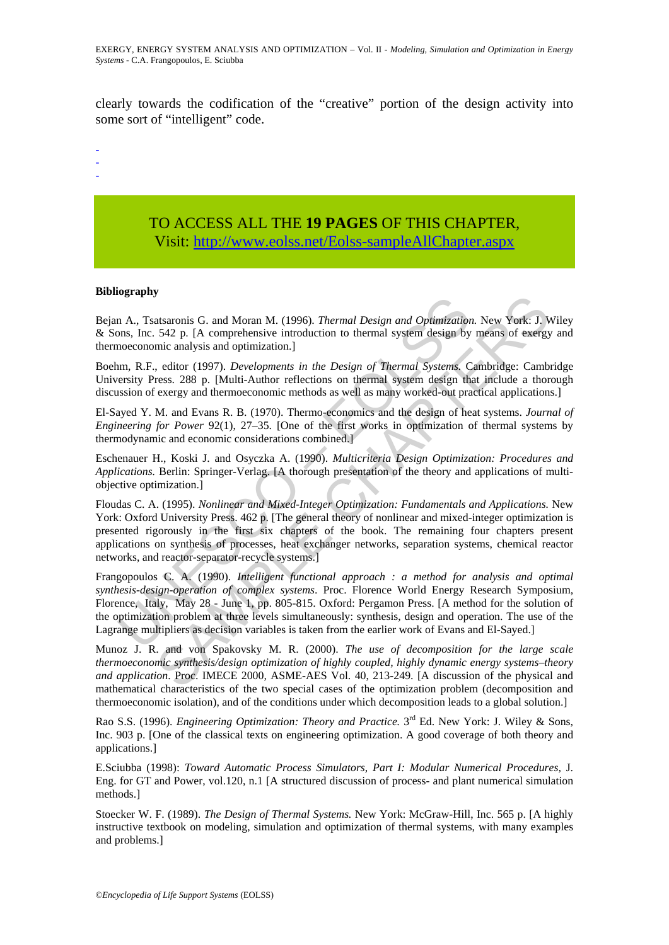clearly towards the codification of the "creative" portion of the design activity into some sort of "intelligent" code.

-

-

-

# TO ACCESS ALL THE **19 PAGES** OF THIS CHAPTER, Visit: [http://www.eolss.net/Eolss-sampleAllChapter.aspx](https://www.eolss.net/ebooklib/sc_cart.aspx?File=E3-19-03-00)

#### **Bibliography**

Bejan A., Tsatsaronis G. and Moran M. (1996). *Thermal Design and Optimization.* New York: J. Wiley & Sons, Inc. 542 p. [A comprehensive introduction to thermal system design by means of exergy and thermoeconomic analysis and optimization.]

Boehm, R.F., editor (1997). *Developments in the Design of Thermal Systems.* Cambridge: Cambridge University Press. 288 p. [Multi-Author reflections on thermal system design that include a thorough discussion of exergy and thermoeconomic methods as well as many worked-out practical applications.]

El-Sayed Y. M. and Evans R. B. (1970). Thermo-economics and the design of heat systems. *Journal of Engineering for Power* 92(1), 27–35. [One of the first works in optimization of thermal systems by thermodynamic and economic considerations combined.]

Eschenauer H., Koski J. and Osyczka A. (1990). *Multicriteria Design Optimization: Procedures and Applications.* Berlin: Springer-Verlag. [A thorough presentation of the theory and applications of multiobjective optimization.]

m. A., Tsatsaronis G. and Moran M. (1996). *Thermal Design and Optimization*<br>
m. A., Tsatsaronis G. and Moran M. (1996). *Thermal Design and Optimization*<br>
nonceonomic analysis and optimization.]<br>
m. R.F., editor (1997). Transmis G. and Moran M. (1996). *Thermal Design and Optimization*. New York: J. S42 p. [A comprehensive introduction to thermal system design by means of exergy nic analysis and optimization.]<br>
selicity (1997). *Developme* Floudas C. A. (1995). *Nonlinear and Mixed-Integer Optimization: Fundamentals and Applications.* New York: Oxford University Press. 462 p. [The general theory of nonlinear and mixed-integer optimization is presented rigorously in the first six chapters of the book. The remaining four chapters present applications on synthesis of processes, heat exchanger networks, separation systems, chemical reactor networks, and reactor-separator-recycle systems.]

Frangopoulos C. A. (1990). *Intelligent functional approach : a method for analysis and optimal synthesis-design-operation of complex systems*. Proc. Florence World Energy Research Symposium, Florence, Italy, May 28 - June 1, pp. 805-815. Oxford: Pergamon Press. [A method for the solution of the optimization problem at three levels simultaneously: synthesis, design and operation. The use of the Lagrange multipliers as decision variables is taken from the earlier work of Evans and El-Sayed.]

Munoz J. R. and von Spakovsky M. R. (2000). *The use of decomposition for the large scale thermoeconomic synthesis/design optimization of highly coupled, highly dynamic energy systems–theory and application*. Proc. IMECE 2000*,* ASME-AES Vol. 40, 213-249. [A discussion of the physical and mathematical characteristics of the two special cases of the optimization problem (decomposition and thermoeconomic isolation), and of the conditions under which decomposition leads to a global solution.]

Rao S.S. (1996). *Engineering Optimization: Theory and Practice*. 3<sup>rd</sup> Ed. New York: J. Wiley & Sons, Inc. 903 p. [One of the classical texts on engineering optimization. A good coverage of both theory and applications.]

E.Sciubba (1998): *Toward Automatic Process Simulators, Part I: Modular Numerical Procedures,* J. Eng. for GT and Power, vol.120, n.1 [A structured discussion of process- and plant numerical simulation methods.]

Stoecker W. F. (1989). *The Design of Thermal Systems.* New York: McGraw-Hill, Inc. 565 p. [A highly instructive textbook on modeling, simulation and optimization of thermal systems, with many examples and problems.]